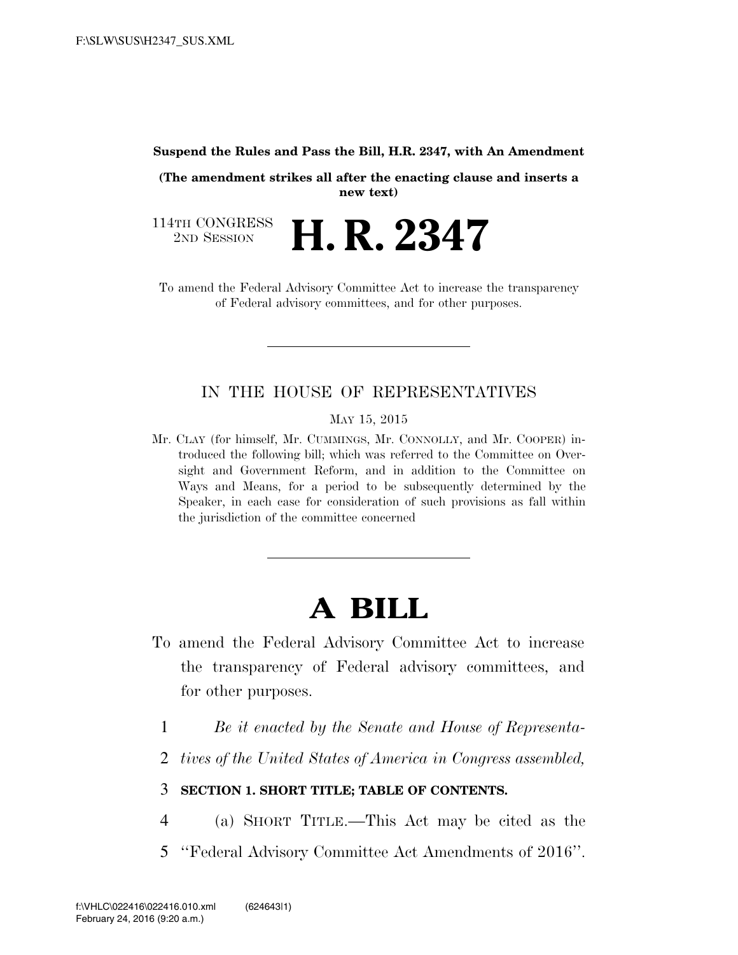#### **Suspend the Rules and Pass the Bill, H.R. 2347, with An Amendment**

**(The amendment strikes all after the enacting clause and inserts a new text)** 

114TH CONGRESS<br>
2ND SESSION **H. R. 2347** 

To amend the Federal Advisory Committee Act to increase the transparency of Federal advisory committees, and for other purposes.

#### IN THE HOUSE OF REPRESENTATIVES

MAY 15, 2015

Mr. CLAY (for himself, Mr. CUMMINGS, Mr. CONNOLLY, and Mr. COOPER) introduced the following bill; which was referred to the Committee on Oversight and Government Reform, and in addition to the Committee on Ways and Means, for a period to be subsequently determined by the Speaker, in each case for consideration of such provisions as fall within the jurisdiction of the committee concerned

# **A BILL**

- To amend the Federal Advisory Committee Act to increase the transparency of Federal advisory committees, and for other purposes.
	- 1 *Be it enacted by the Senate and House of Representa-*
	- 2 *tives of the United States of America in Congress assembled,*

#### 3 **SECTION 1. SHORT TITLE; TABLE OF CONTENTS.**

- 4 (a) SHORT TITLE.—This Act may be cited as the
- 5 ''Federal Advisory Committee Act Amendments of 2016''.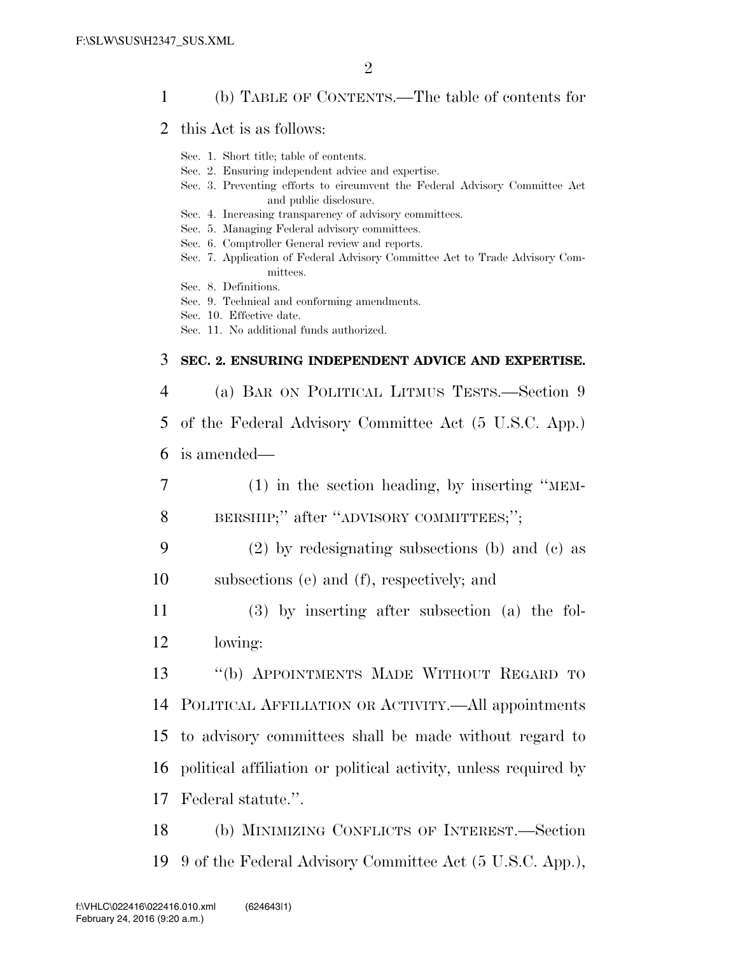#### 1 (b) TABLE OF CONTENTS.—The table of contents for

- 2 this Act is as follows:
	- Sec. 1. Short title; table of contents.
	- Sec. 2. Ensuring independent advice and expertise.
	- Sec. 3. Preventing efforts to circumvent the Federal Advisory Committee Act and public disclosure.
	- Sec. 4. Increasing transparency of advisory committees.
	- Sec. 5. Managing Federal advisory committees.
	- Sec. 6. Comptroller General review and reports.
	- Sec. 7. Application of Federal Advisory Committee Act to Trade Advisory Committees.
	- Sec. 8. Definitions.
	- Sec. 9. Technical and conforming amendments.
	- Sec. 10. Effective date.
	- Sec. 11. No additional funds authorized.

#### 3 **SEC. 2. ENSURING INDEPENDENT ADVICE AND EXPERTISE.**

4 (a) BAR ON POLITICAL LITMUS TESTS.—Section 9

5 of the Federal Advisory Committee Act (5 U.S.C. App.)

- 6 is amended—
- 7 (1) in the section heading, by inserting ''MEM-8 BERSHIP;" after "ADVISORY COMMITTEES;";
- 9 (2) by redesignating subsections (b) and (c) as 10 subsections (e) and (f), respectively; and
- 11 (3) by inserting after subsection (a) the fol-12 lowing:

 ''(b) APPOINTMENTS MADE WITHOUT REGARD TO POLITICAL AFFILIATION OR ACTIVITY.—All appointments to advisory committees shall be made without regard to political affiliation or political activity, unless required by Federal statute.''.

18 (b) MINIMIZING CONFLICTS OF INTEREST.—Section 19 9 of the Federal Advisory Committee Act (5 U.S.C. App.),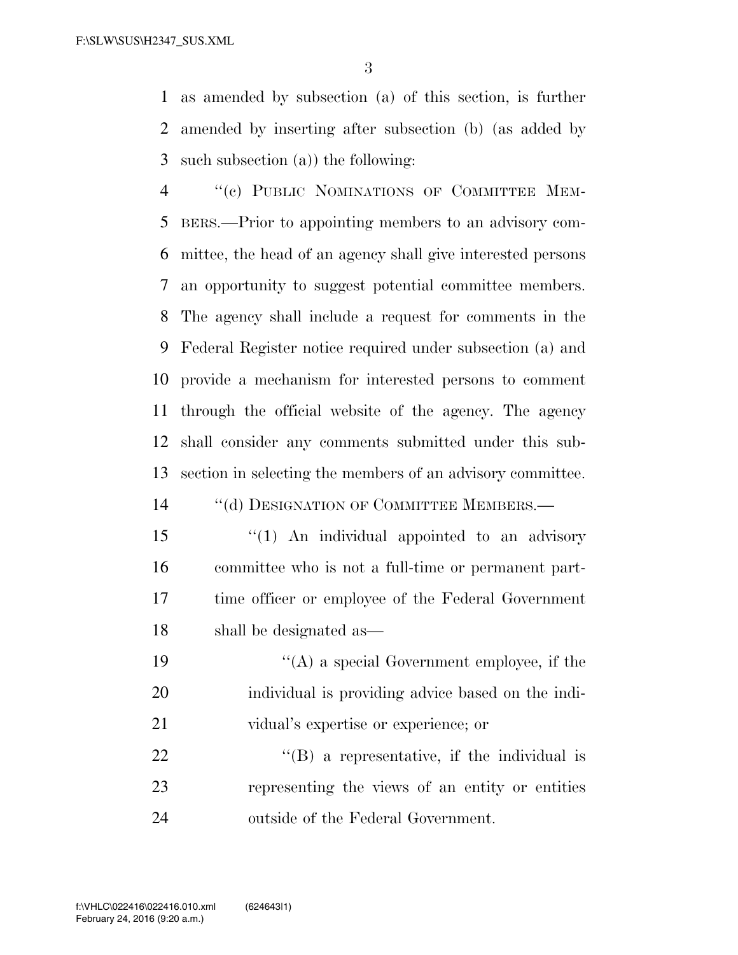as amended by subsection (a) of this section, is further amended by inserting after subsection (b) (as added by such subsection (a)) the following:

4 "(c) PUBLIC NOMINATIONS OF COMMITTEE MEM- BERS.—Prior to appointing members to an advisory com- mittee, the head of an agency shall give interested persons an opportunity to suggest potential committee members. The agency shall include a request for comments in the Federal Register notice required under subsection (a) and provide a mechanism for interested persons to comment through the official website of the agency. The agency shall consider any comments submitted under this sub-section in selecting the members of an advisory committee.

14 "(d) DESIGNATION OF COMMITTEE MEMBERS.—

- 15 "(1) An individual appointed to an advisory committee who is not a full-time or permanent part- time officer or employee of the Federal Government shall be designated as—
- ''(A) a special Government employee, if the individual is providing advice based on the indi-vidual's expertise or experience; or

 "(B) a representative, if the individual is representing the views of an entity or entities outside of the Federal Government.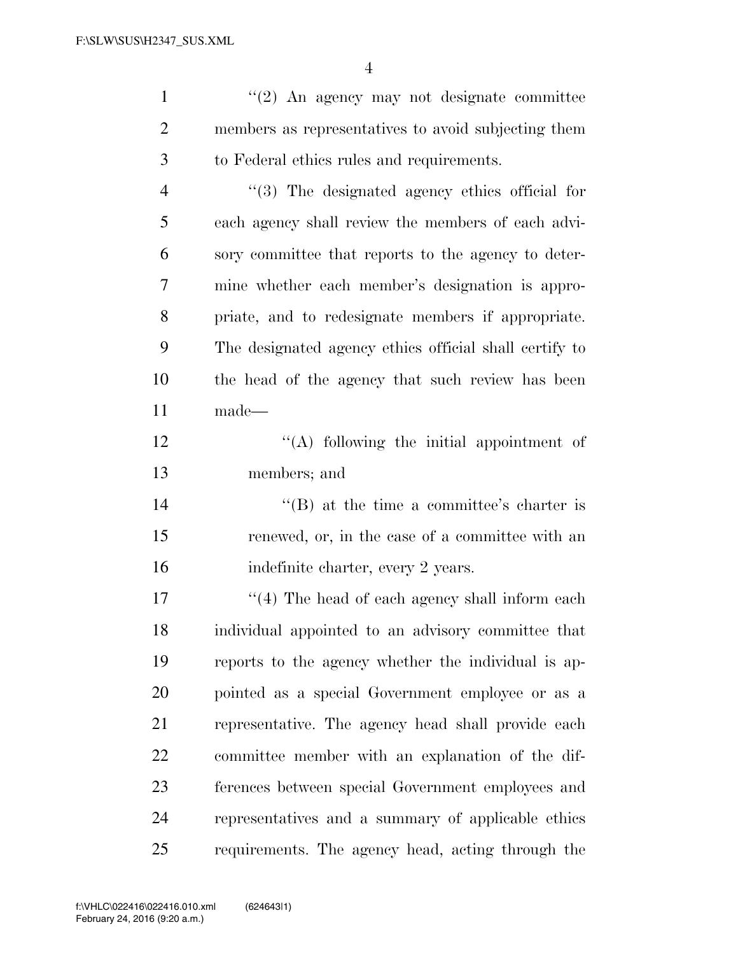''(2) An agency may not designate committee members as representatives to avoid subjecting them to Federal ethics rules and requirements. ''(3) The designated agency ethics official for each agency shall review the members of each advi- sory committee that reports to the agency to deter- mine whether each member's designation is appro- priate, and to redesignate members if appropriate. The designated agency ethics official shall certify to the head of the agency that such review has been made—

12 ''(A) following the initial appointment of members; and

14 ''(B) at the time a committee's charter is renewed, or, in the case of a committee with an 16 indefinite charter, every 2 years.

17 ''(4) The head of each agency shall inform each individual appointed to an advisory committee that reports to the agency whether the individual is ap- pointed as a special Government employee or as a representative. The agency head shall provide each committee member with an explanation of the dif- ferences between special Government employees and representatives and a summary of applicable ethics requirements. The agency head, acting through the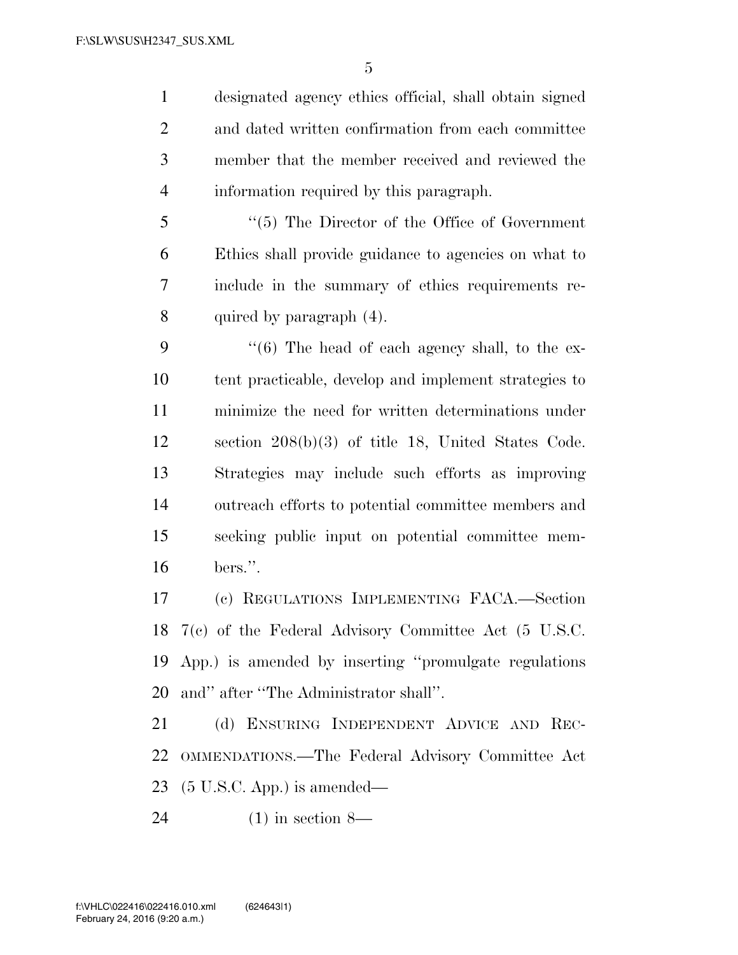designated agency ethics official, shall obtain signed and dated written confirmation from each committee member that the member received and reviewed the information required by this paragraph.

 ''(5) The Director of the Office of Government Ethics shall provide guidance to agencies on what to include in the summary of ethics requirements re-quired by paragraph (4).

 ''(6) The head of each agency shall, to the ex- tent practicable, develop and implement strategies to minimize the need for written determinations under section 208(b)(3) of title 18, United States Code. Strategies may include such efforts as improving outreach efforts to potential committee members and seeking public input on potential committee mem-bers.''.

 (c) REGULATIONS IMPLEMENTING FACA.—Section 7(c) of the Federal Advisory Committee Act (5 U.S.C. App.) is amended by inserting ''promulgate regulations and'' after ''The Administrator shall''.

 (d) ENSURING INDEPENDENT ADVICE AND REC- OMMENDATIONS.—The Federal Advisory Committee Act (5 U.S.C. App.) is amended—

(1) in section 8—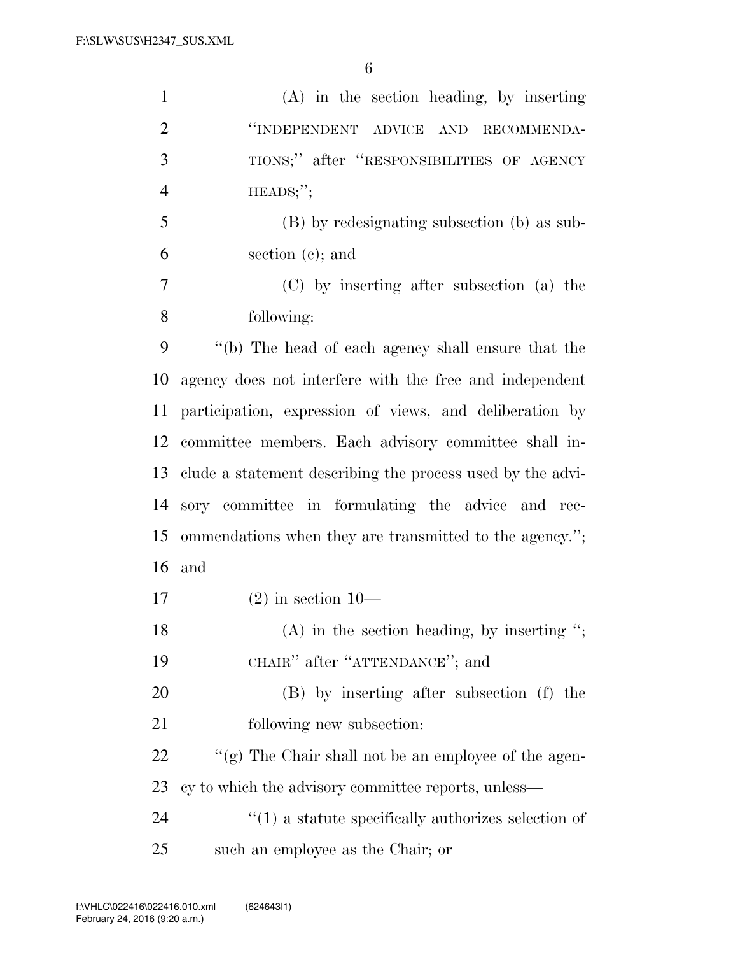| $\mathbf{1}$   | $(A)$ in the section heading, by inserting                     |
|----------------|----------------------------------------------------------------|
| $\overline{2}$ | "INDEPENDENT ADVICE AND<br>RECOMMENDA-                         |
| 3              | TIONS;" after "RESPONSIBILITIES OF AGENCY                      |
| $\overline{4}$ | $HEADS;$ ";                                                    |
| 5              | (B) by redesignating subsection (b) as sub-                    |
| 6              | section $(c)$ ; and                                            |
| 7              | (C) by inserting after subsection (a) the                      |
| 8              | following:                                                     |
| 9              | "(b) The head of each agency shall ensure that the             |
| 10             | agency does not interfere with the free and independent        |
| 11             | participation, expression of views, and deliberation by        |
| 12             | committee members. Each advisory committee shall in-           |
| 13             | clude a statement describing the process used by the advi-     |
| 14             | sory committee in formulating the advice and rec-              |
| 15             | ommendations when they are transmitted to the agency.";        |
| 16             | and                                                            |
| 17             | $(2)$ in section 10-                                           |
| 18             | $(A)$ in the section heading, by inserting ";                  |
| 19             | CHAIR" after "ATTENDANCE"; and                                 |
| 20             | (B) by inserting after subsection (f) the                      |
| 21             | following new subsection:                                      |
| 22             | "(g) The Chair shall not be an employee of the agen-           |
| 23             | cy to which the advisory committee reports, unless—            |
| 24             | $\cdot\cdot(1)$ a statute specifically authorizes selection of |
| 25             | such an employee as the Chair; or                              |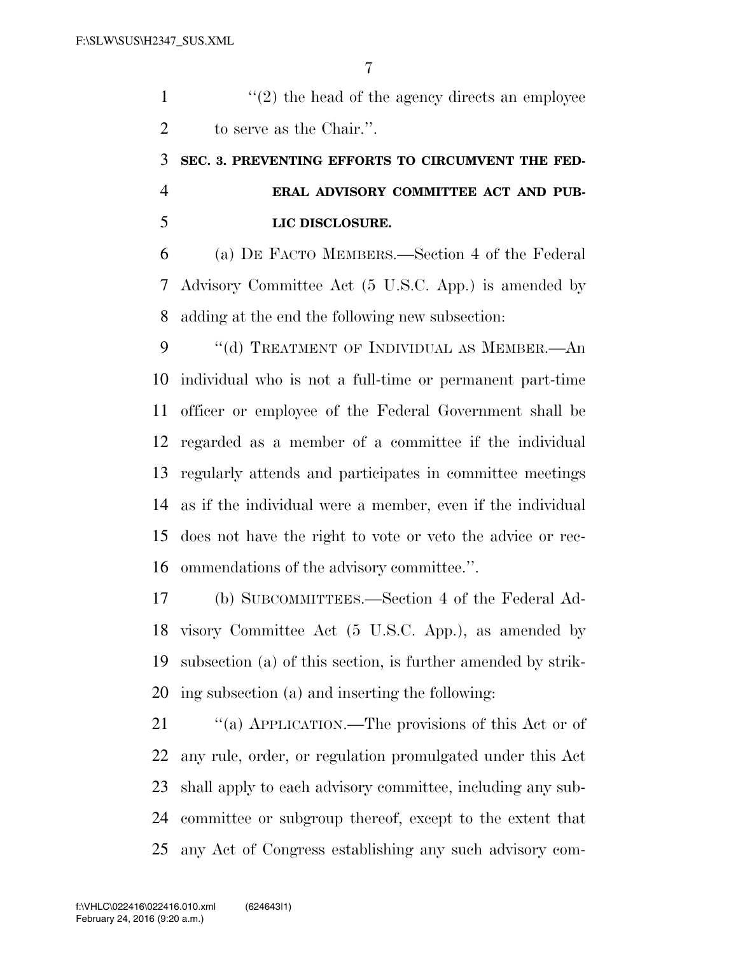1  $\langle (2)$  the head of the agency directs an employee to serve as the Chair.''.

## **SEC. 3. PREVENTING EFFORTS TO CIRCUMVENT THE FED- ERAL ADVISORY COMMITTEE ACT AND PUB-LIC DISCLOSURE.**

 (a) DE FACTO MEMBERS.—Section 4 of the Federal Advisory Committee Act (5 U.S.C. App.) is amended by adding at the end the following new subsection:

9 "(d) TREATMENT OF INDIVIDUAL AS MEMBER.—An individual who is not a full-time or permanent part-time officer or employee of the Federal Government shall be regarded as a member of a committee if the individual regularly attends and participates in committee meetings as if the individual were a member, even if the individual does not have the right to vote or veto the advice or rec-ommendations of the advisory committee.''.

 (b) SUBCOMMITTEES.—Section 4 of the Federal Ad- visory Committee Act (5 U.S.C. App.), as amended by subsection (a) of this section, is further amended by strik-ing subsection (a) and inserting the following:

 ''(a) APPLICATION.—The provisions of this Act or of any rule, order, or regulation promulgated under this Act shall apply to each advisory committee, including any sub- committee or subgroup thereof, except to the extent that any Act of Congress establishing any such advisory com-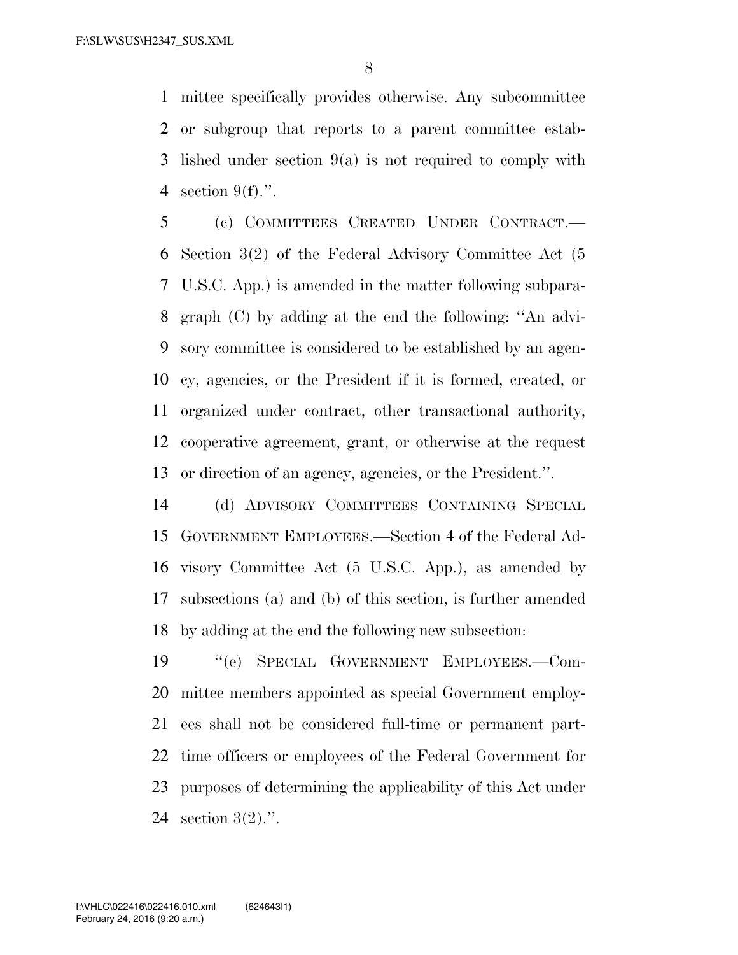mittee specifically provides otherwise. Any subcommittee or subgroup that reports to a parent committee estab- lished under section 9(a) is not required to comply with section 9(f).''.

 (c) COMMITTEES CREATED UNDER CONTRACT.— Section 3(2) of the Federal Advisory Committee Act (5 U.S.C. App.) is amended in the matter following subpara- graph (C) by adding at the end the following: ''An advi- sory committee is considered to be established by an agen- cy, agencies, or the President if it is formed, created, or organized under contract, other transactional authority, cooperative agreement, grant, or otherwise at the request or direction of an agency, agencies, or the President.''.

 (d) ADVISORY COMMITTEES CONTAINING SPECIAL GOVERNMENT EMPLOYEES.—Section 4 of the Federal Ad- visory Committee Act (5 U.S.C. App.), as amended by subsections (a) and (b) of this section, is further amended by adding at the end the following new subsection:

 ''(e) SPECIAL GOVERNMENT EMPLOYEES.—Com- mittee members appointed as special Government employ- ees shall not be considered full-time or permanent part- time officers or employees of the Federal Government for purposes of determining the applicability of this Act under section 3(2).''.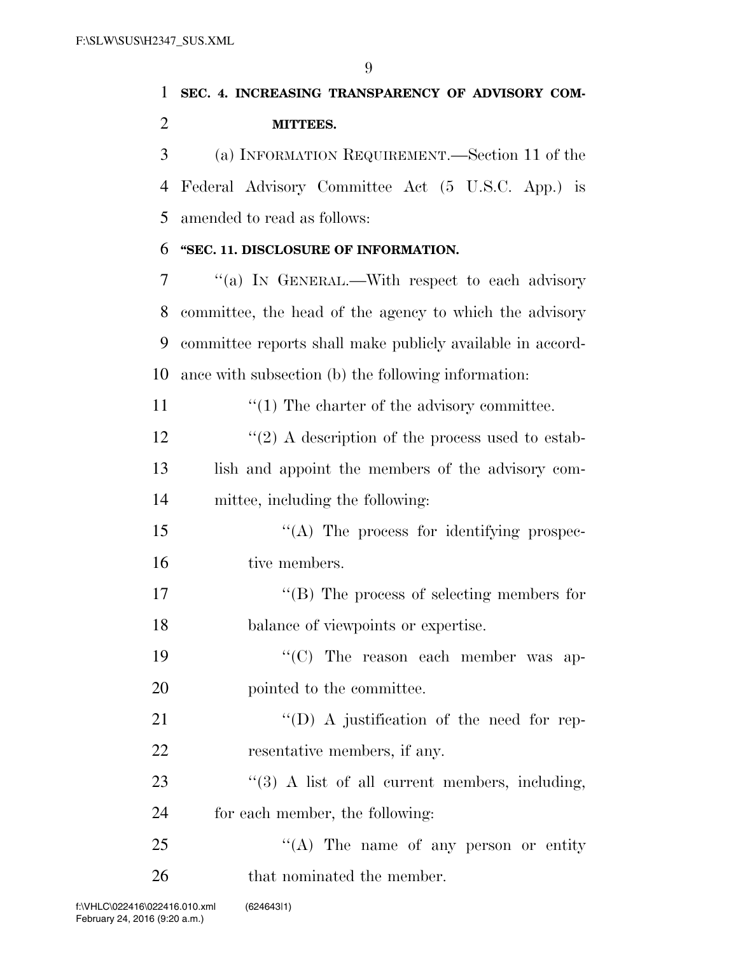## 1 **SEC. 4. INCREASING TRANSPARENCY OF ADVISORY COM-**2 **MITTEES.**

3 (a) INFORMATION REQUIREMENT.—Section 11 of the 4 Federal Advisory Committee Act (5 U.S.C. App.) is 5 amended to read as follows:

### 6 **''SEC. 11. DISCLOSURE OF INFORMATION.**

 ''(a) IN GENERAL.—With respect to each advisory committee, the head of the agency to which the advisory committee reports shall make publicly available in accord-ance with subsection (b) the following information:

11  $\frac{1}{1}$  The charter of the advisory committee.

 $\frac{12}{2}$  ''(2) A description of the process used to estab-13 lish and appoint the members of the advisory com-14 mittee, including the following:

15 ''(A) The process for identifying prospec-16 tive members.

17  $\text{``(B)}$  The process of selecting members for 18 balance of viewpoints or expertise.

19  $\cdot$  ''(C) The reason each member was ap-20 pointed to the committee.

21 "'(D) A justification of the need for rep-22 resentative members, if any.

23 "(3) A list of all current members, including, 24 for each member, the following:

25 "(A) The name of any person or entity 26 that nominated the member.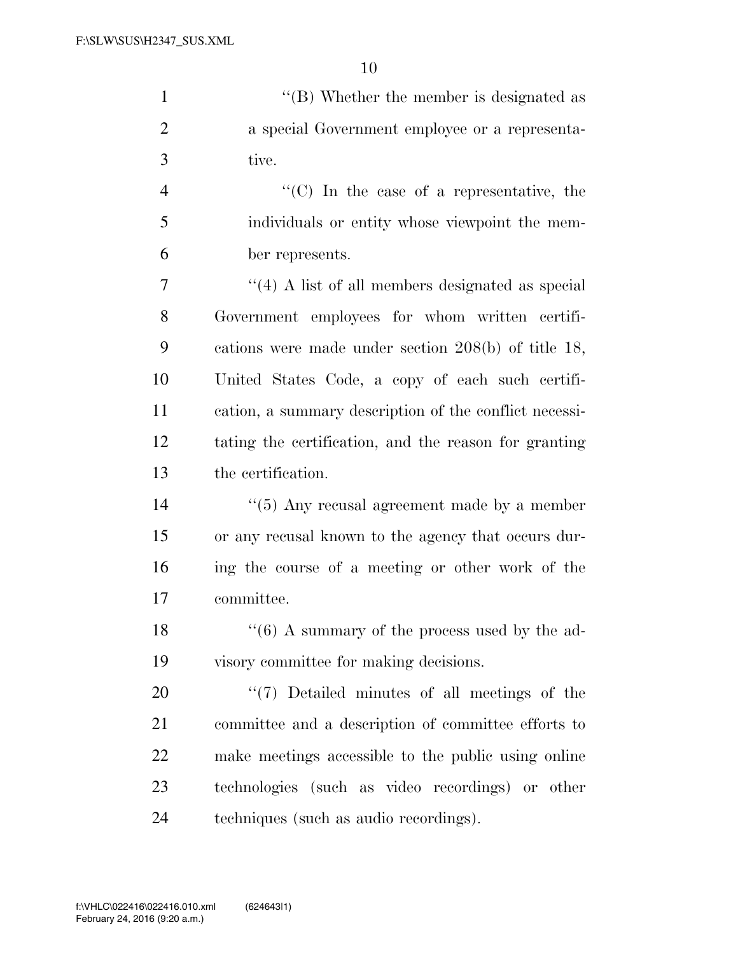1 ''(B) Whether the member is designated as a special Government employee or a representa-tive.

 ''(C) In the case of a representative, the individuals or entity whose viewpoint the mem-ber represents.

 ''(4) A list of all members designated as special Government employees for whom written certifi- cations were made under section 208(b) of title 18, United States Code, a copy of each such certifi- cation, a summary description of the conflict necessi- tating the certification, and the reason for granting the certification.

 $\frac{14}{2}$  ''(5) Any recusal agreement made by a member or any recusal known to the agency that occurs dur- ing the course of a meeting or other work of the committee.

18  $\frac{16}{6}$  A summary of the process used by the ad-visory committee for making decisions.

 $\frac{1}{20}$  Detailed minutes of all meetings of the committee and a description of committee efforts to make meetings accessible to the public using online technologies (such as video recordings) or other techniques (such as audio recordings).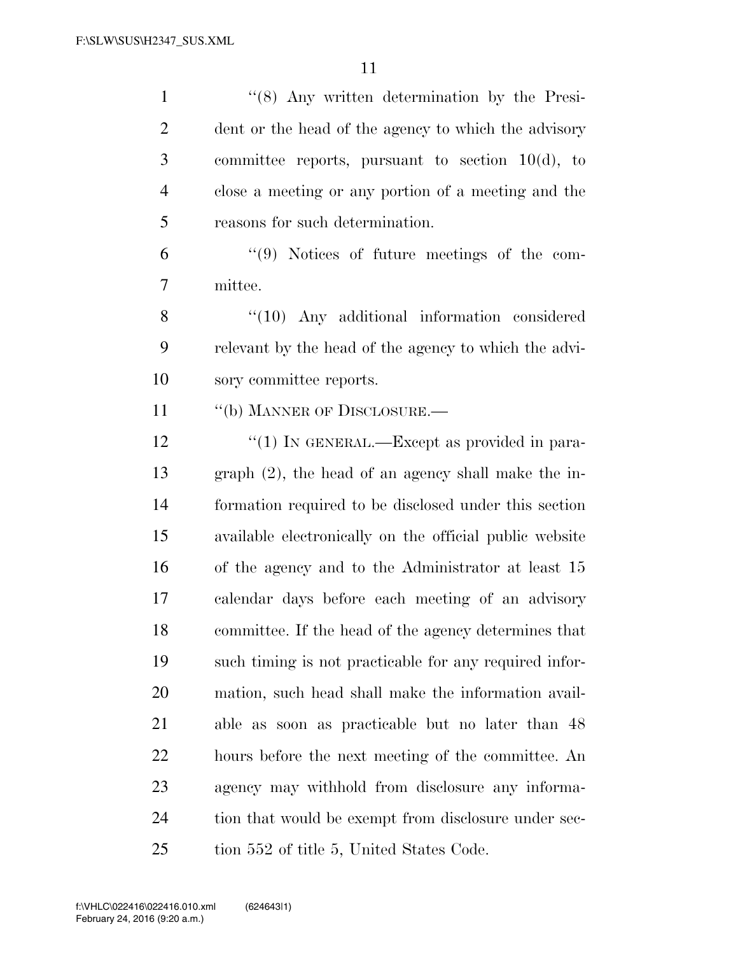''(8) Any written determination by the Presi- dent or the head of the agency to which the advisory committee reports, pursuant to section 10(d), to close a meeting or any portion of a meeting and the reasons for such determination.

 ''(9) Notices of future meetings of the com-mittee.

8 "(10) Any additional information considered relevant by the head of the agency to which the advi-sory committee reports.

11 "(b) MANNER OF DISCLOSURE.—

12 "(1) IN GENERAL.—Except as provided in para- graph (2), the head of an agency shall make the in- formation required to be disclosed under this section available electronically on the official public website of the agency and to the Administrator at least 15 calendar days before each meeting of an advisory committee. If the head of the agency determines that such timing is not practicable for any required infor- mation, such head shall make the information avail- able as soon as practicable but no later than 48 hours before the next meeting of the committee. An agency may withhold from disclosure any informa-24 tion that would be exempt from disclosure under sec-25 tion 552 of title 5, United States Code.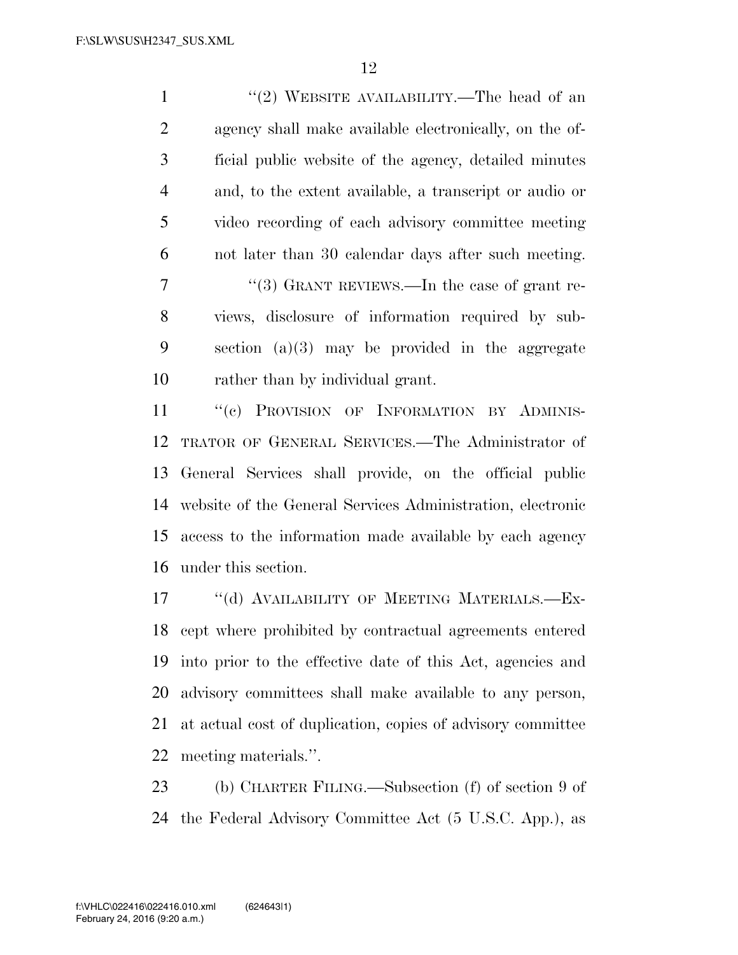1 ''(2) WEBSITE AVAILABILITY.—The head of an agency shall make available electronically, on the of- ficial public website of the agency, detailed minutes and, to the extent available, a transcript or audio or video recording of each advisory committee meeting not later than 30 calendar days after such meeting. 7 "(3) GRANT REVIEWS.—In the case of grant re- views, disclosure of information required by sub- section (a)(3) may be provided in the aggregate rather than by individual grant.

11 "(c) PROVISION OF INFORMATION BY ADMINIS- TRATOR OF GENERAL SERVICES.—The Administrator of General Services shall provide, on the official public website of the General Services Administration, electronic access to the information made available by each agency under this section.

17 "(d) AVAILABILITY OF MEETING MATERIALS.—Ex- cept where prohibited by contractual agreements entered into prior to the effective date of this Act, agencies and advisory committees shall make available to any person, at actual cost of duplication, copies of advisory committee meeting materials.''.

 (b) CHARTER FILING.—Subsection (f) of section 9 of the Federal Advisory Committee Act (5 U.S.C. App.), as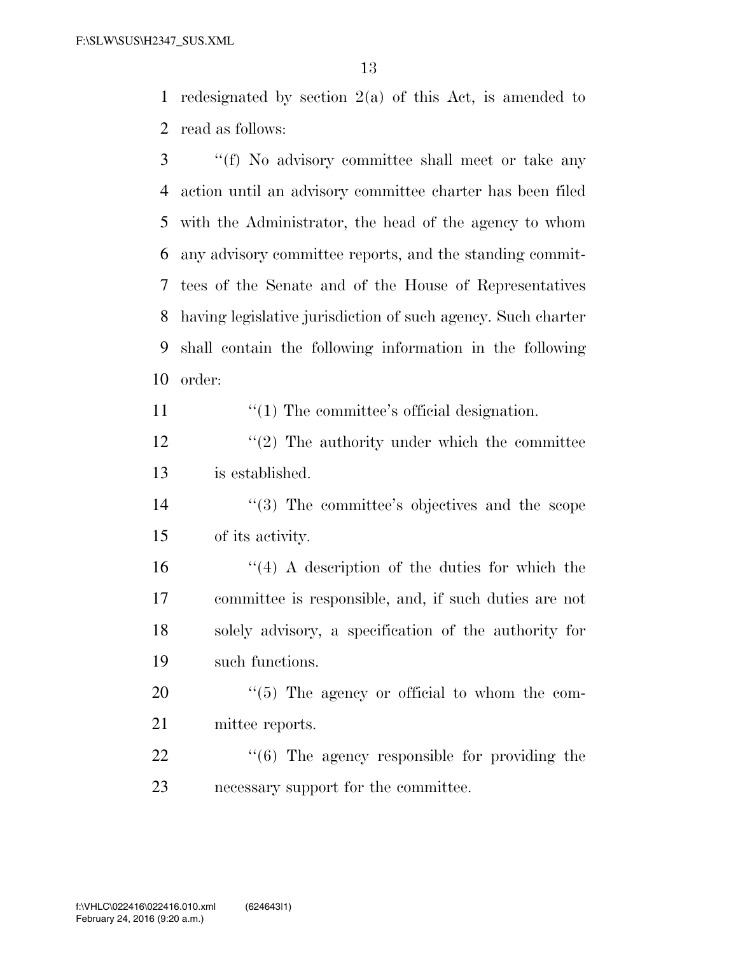redesignated by section 2(a) of this Act, is amended to read as follows:

 ''(f) No advisory committee shall meet or take any action until an advisory committee charter has been filed with the Administrator, the head of the agency to whom any advisory committee reports, and the standing commit- tees of the Senate and of the House of Representatives having legislative jurisdiction of such agency. Such charter shall contain the following information in the following order:

11  $\frac{1}{1}$  The committee's official designation.

12 ''(2) The authority under which the committee is established.

14 ''(3) The committee's objectives and the scope of its activity.

 $(4)$  A description of the duties for which the committee is responsible, and, if such duties are not solely advisory, a specification of the authority for such functions.

20  $\frac{1}{20}$  The agency or official to whom the com-mittee reports.

22  $\frac{1}{6}$  The agency responsible for providing the necessary support for the committee.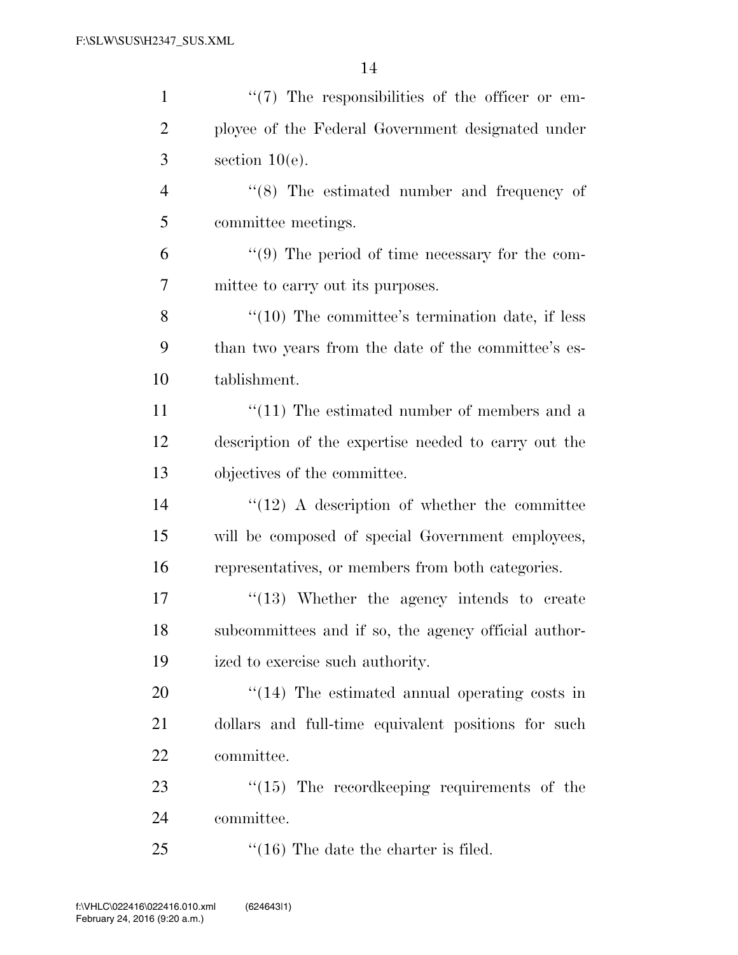| $\mathbf{1}$   | $\lq(7)$ The responsibilities of the officer or em-  |
|----------------|------------------------------------------------------|
| $\overline{2}$ | ployee of the Federal Government designated under    |
| 3              | section $10(e)$ .                                    |
| $\overline{4}$ | $\cdot$ (8) The estimated number and frequency of    |
| 5              | committee meetings.                                  |
| 6              | $\lq(9)$ The period of time necessary for the com-   |
| 7              | mittee to carry out its purposes.                    |
| 8              | $\lq(10)$ The committee's termination date, if less  |
| 9              | than two years from the date of the committee's es-  |
| 10             | tablishment.                                         |
| 11             | $\lq(11)$ The estimated number of members and a      |
| 12             | description of the expertise needed to carry out the |
| 13             | objectives of the committee.                         |
| 14             | $\lq(12)$ A description of whether the committee     |
| 15             | will be composed of special Government employees,    |
| 16             | representatives, or members from both categories.    |
| 17             | $\cdot$ (13) Whether the agency intends to create    |
| 18             | subcommittees and if so, the agency official author- |
| 19             | ized to exercise such authority.                     |
| 20             | $\lq(14)$ The estimated annual operating costs in    |
| 21             | dollars and full-time equivalent positions for such  |
| 22             | committee.                                           |
| 23             | $\lq(15)$ The record keeping requirements of the     |
| 24             | committee.                                           |
| 25             | $\cdot$ (16) The date the charter is filed.          |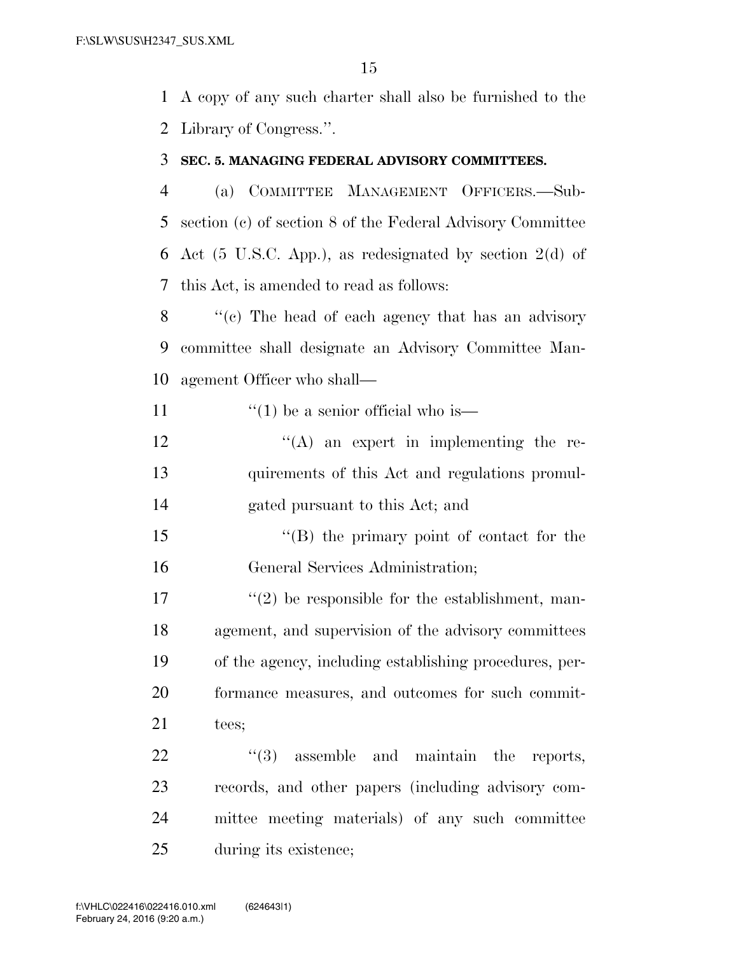A copy of any such charter shall also be furnished to the Library of Congress.''.

#### **SEC. 5. MANAGING FEDERAL ADVISORY COMMITTEES.**

 (a) COMMITTEE MANAGEMENT OFFICERS.—Sub- section (c) of section 8 of the Federal Advisory Committee Act (5 U.S.C. App.), as redesignated by section 2(d) of this Act, is amended to read as follows:

8 ''(c) The head of each agency that has an advisory committee shall designate an Advisory Committee Man-agement Officer who shall—

11  $\frac{1}{2}$   $\frac{1}{2}$  be a senior official who is—

 $'$ (A) an expert in implementing the re- quirements of this Act and regulations promul-gated pursuant to this Act; and

15 "(B) the primary point of contact for the General Services Administration;

 $\frac{17}{2}$  ''(2) be responsible for the establishment, man- agement, and supervision of the advisory committees of the agency, including establishing procedures, per- formance measures, and outcomes for such commit-21 tees;

 $(3)$  assemble and maintain the reports, records, and other papers (including advisory com- mittee meeting materials) of any such committee during its existence;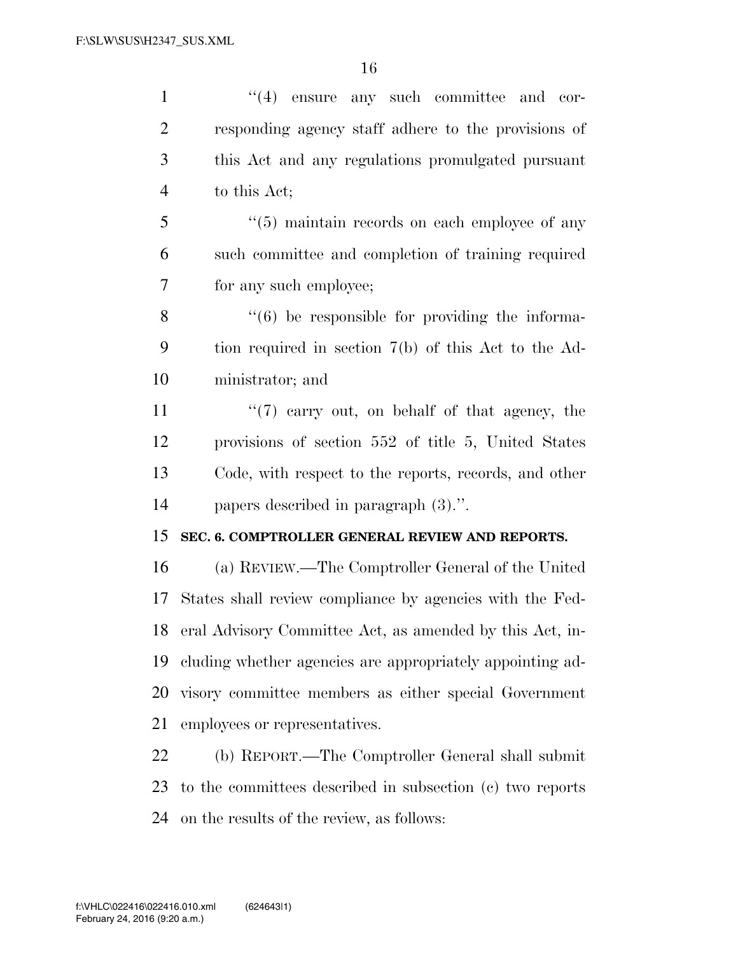| $\mathbf{1}$   | $(4)$ ensure any such committee and cor-                       |
|----------------|----------------------------------------------------------------|
| $\overline{c}$ | responding agency staff adhere to the provisions of            |
| 3              | this Act and any regulations promulgated pursuant              |
| $\overline{4}$ | to this Act;                                                   |
| 5              | $\cdot\cdot$ (5) maintain records on each employee of any      |
| 6              | such committee and completion of training required             |
| 7              | for any such employee;                                         |
| 8              | $\cdot\cdot\cdot(6)$ be responsible for providing the informa- |
| 9              | tion required in section 7(b) of this Act to the Ad-           |
| 10             | ministrator; and                                               |
| 11             | $\lq(7)$ carry out, on behalf of that agency, the              |
| 12             | provisions of section 552 of title 5, United States            |
| 13             | Code, with respect to the reports, records, and other          |
| 14             | papers described in paragraph $(3)$ .".                        |
| 15             | SEC. 6. COMPTROLLER GENERAL REVIEW AND REPORTS.                |
| 16             | (a) REVIEW.—The Comptroller General of the United              |
| 17             | States shall review compliance by agencies with the Fed-       |
|                | 18 eral Advisory Committee Act, as amended by this Act, in-    |
| 19             | cluding whether agencies are appropriately appointing ad-      |
| 20             | visory committee members as either special Government          |
| 21             | employees or representatives.                                  |
| 22             | (b) REPORT.—The Comptroller General shall submit               |
| 23             | to the committees described in subsection (c) two reports      |
| 24             | on the results of the review, as follows:                      |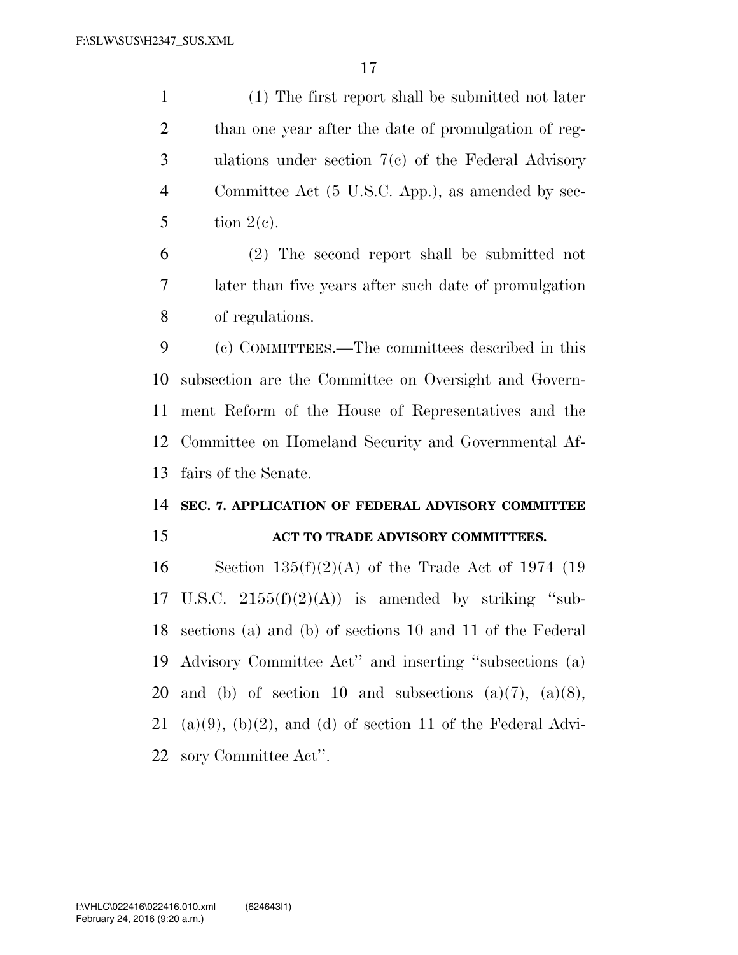(1) The first report shall be submitted not later than one year after the date of promulgation of reg- ulations under section 7(c) of the Federal Advisory Committee Act (5 U.S.C. App.), as amended by sec-5 tion  $2(e)$ .

 (2) The second report shall be submitted not later than five years after such date of promulgation of regulations.

 (c) COMMITTEES.—The committees described in this subsection are the Committee on Oversight and Govern- ment Reform of the House of Representatives and the Committee on Homeland Security and Governmental Af-fairs of the Senate.

# **SEC. 7. APPLICATION OF FEDERAL ADVISORY COMMITTEE**

#### **ACT TO TRADE ADVISORY COMMITTEES.**

16 Section  $135(f)(2)(A)$  of the Trade Act of 1974 (19 17 U.S.C.  $2155(f)(2)(A)$  is amended by striking "sub- sections (a) and (b) of sections 10 and 11 of the Federal Advisory Committee Act'' and inserting ''subsections (a) 20 and (b) of section 10 and subsections  $(a)(7)$ ,  $(a)(8)$ , 21 (a)(9), (b)(2), and (d) of section 11 of the Federal Advi-sory Committee Act''.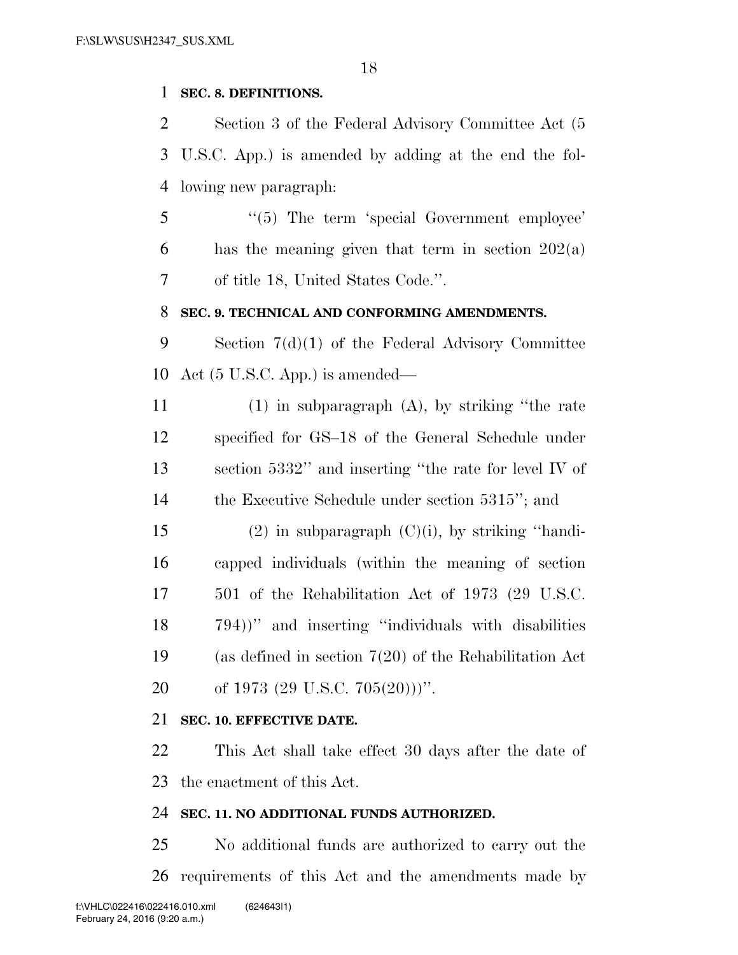#### **SEC. 8. DEFINITIONS.**

 Section 3 of the Federal Advisory Committee Act (5 U.S.C. App.) is amended by adding at the end the fol-lowing new paragraph:

5 "(5) The term 'special Government employee' 6 has the meaning given that term in section  $202(a)$ of title 18, United States Code.''.

#### **SEC. 9. TECHNICAL AND CONFORMING AMENDMENTS.**

 Section 7(d)(1) of the Federal Advisory Committee Act (5 U.S.C. App.) is amended—

 (1) in subparagraph (A), by striking ''the rate specified for GS–18 of the General Schedule under section 5332'' and inserting ''the rate for level IV of the Executive Schedule under section 5315''; and

15 (2) in subparagraph  $(C)(i)$ , by striking "handi- capped individuals (within the meaning of section 501 of the Rehabilitation Act of 1973 (29 U.S.C. 794))'' and inserting ''individuals with disabilities (as defined in section 7(20) of the Rehabilitation Act 20 of 1973  $(29 \text{ U.S.C. } 705(20)))$ ".

### **SEC. 10. EFFECTIVE DATE.**

 This Act shall take effect 30 days after the date of the enactment of this Act.

#### **SEC. 11. NO ADDITIONAL FUNDS AUTHORIZED.**

 No additional funds are authorized to carry out the requirements of this Act and the amendments made by